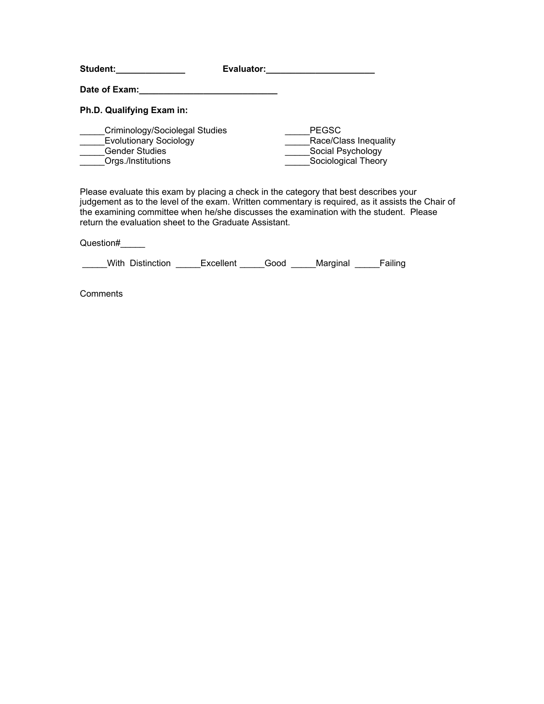| <b>Student:</b>                                                                                                | Evaluator:   |                                                                   |
|----------------------------------------------------------------------------------------------------------------|--------------|-------------------------------------------------------------------|
| Date of Exam:                                                                                                  |              |                                                                   |
| Ph.D. Qualifying Exam in:                                                                                      |              |                                                                   |
| Criminology/Sociolegal Studies<br><b>Evolutionary Sociology</b><br><b>Gender Studies</b><br>Orgs./Institutions | <b>PEGSC</b> | Race/Class Inequality<br>Social Psychology<br>Sociological Theory |

Please evaluate this exam by placing a check in the category that best describes your judgement as to the level of the exam. Written commentary is required, as it assists the Chair of the examining committee when he/she discusses the examination with the student. Please return the evaluation sheet to the Graduate Assistant.

Question#\_\_\_\_\_

\_With Distinction \_\_\_\_\_Excellent \_\_\_\_\_Good \_\_\_\_\_Marginal \_\_\_\_\_Failing

**Comments**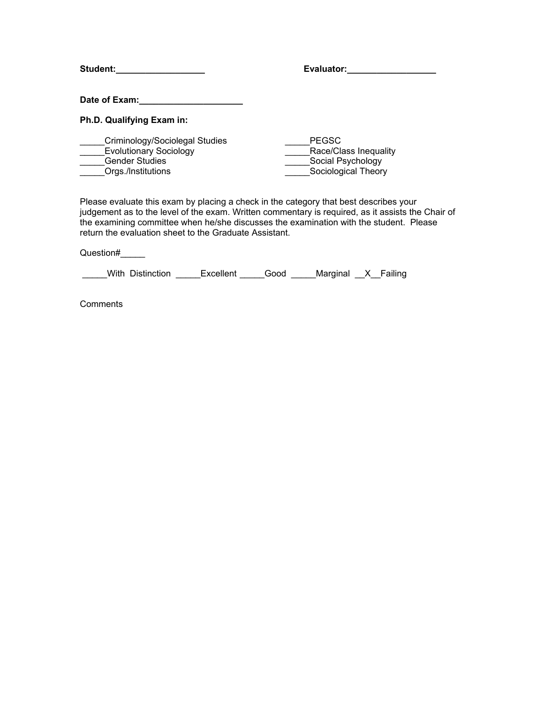| Student:                                                                                                       | Evaluator:                                                                        |
|----------------------------------------------------------------------------------------------------------------|-----------------------------------------------------------------------------------|
| Date of Exam:                                                                                                  |                                                                                   |
| Ph.D. Qualifying Exam in:                                                                                      |                                                                                   |
| Criminology/Sociolegal Studies<br><b>Evolutionary Sociology</b><br><b>Gender Studies</b><br>Orgs./Institutions | <b>PEGSC</b><br>Race/Class Inequality<br>Social Psychology<br>Sociological Theory |

Please evaluate this exam by placing a check in the category that best describes your judgement as to the level of the exam. Written commentary is required, as it assists the Chair of the examining committee when he/she discusses the examination with the student. Please return the evaluation sheet to the Graduate Assistant.

Question#\_\_\_\_\_

\_\_\_\_\_With Distinction \_\_\_\_\_Excellent \_\_\_\_\_Good \_\_\_\_\_Marginal \_\_X\_\_Failing

**Comments**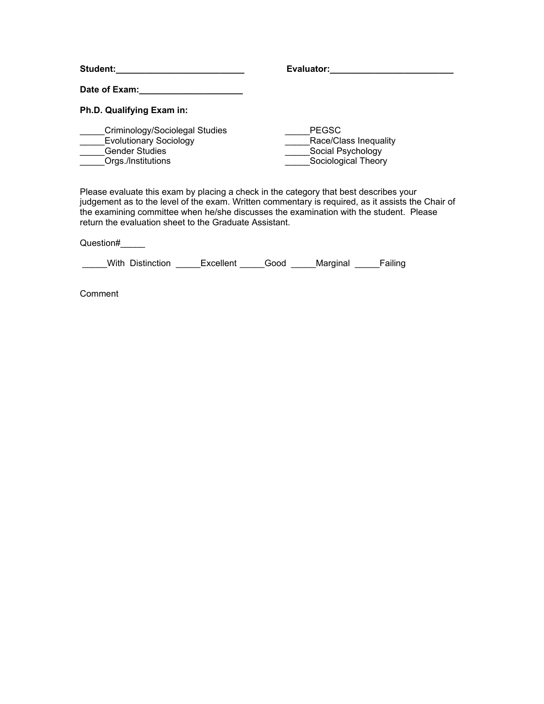| <b>Student:</b>                                                                                                | Evaluator:                                                                        |
|----------------------------------------------------------------------------------------------------------------|-----------------------------------------------------------------------------------|
| Date of Exam:                                                                                                  |                                                                                   |
| Ph.D. Qualifying Exam in:                                                                                      |                                                                                   |
| Criminology/Sociolegal Studies<br><b>Evolutionary Sociology</b><br><b>Gender Studies</b><br>Orgs./Institutions | <b>PEGSC</b><br>Race/Class Inequality<br>Social Psychology<br>Sociological Theory |

Please evaluate this exam by placing a check in the category that best describes your judgement as to the level of the exam. Written commentary is required, as it assists the Chair of the examining committee when he/she discusses the examination with the student. Please return the evaluation sheet to the Graduate Assistant.

Question#\_\_\_\_\_

\_\_\_\_\_With Distinction \_\_\_\_\_Excellent \_\_\_\_\_Good \_\_\_\_\_Marginal \_\_\_\_\_Failing

**Comment**